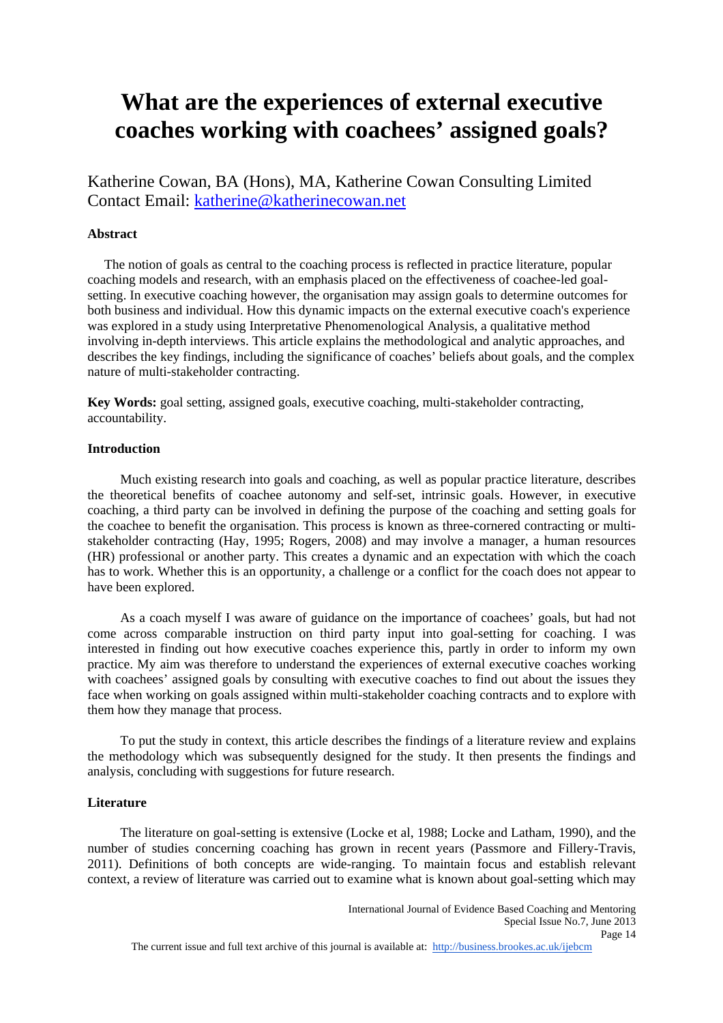# **What are the experiences of external executive coaches working with coachees' assigned goals?**

Katherine Cowan, BA (Hons), MA, Katherine Cowan Consulting Limited Contact Email: katherine@katherinecowan.net

# **Abstract**

 The notion of goals as central to the coaching process is reflected in practice literature, popular coaching models and research, with an emphasis placed on the effectiveness of coachee-led goalsetting. In executive coaching however, the organisation may assign goals to determine outcomes for both business and individual. How this dynamic impacts on the external executive coach's experience was explored in a study using Interpretative Phenomenological Analysis, a qualitative method involving in-depth interviews. This article explains the methodological and analytic approaches, and describes the key findings, including the significance of coaches' beliefs about goals, and the complex nature of multi-stakeholder contracting.

**Key Words:** goal setting, assigned goals, executive coaching, multi-stakeholder contracting, accountability.

# **Introduction**

 Much existing research into goals and coaching, as well as popular practice literature, describes the theoretical benefits of coachee autonomy and self-set, intrinsic goals. However, in executive coaching, a third party can be involved in defining the purpose of the coaching and setting goals for the coachee to benefit the organisation. This process is known as three-cornered contracting or multistakeholder contracting (Hay, 1995; Rogers, 2008) and may involve a manager, a human resources (HR) professional or another party. This creates a dynamic and an expectation with which the coach has to work. Whether this is an opportunity, a challenge or a conflict for the coach does not appear to have been explored.

 As a coach myself I was aware of guidance on the importance of coachees' goals, but had not come across comparable instruction on third party input into goal-setting for coaching. I was interested in finding out how executive coaches experience this, partly in order to inform my own practice. My aim was therefore to understand the experiences of external executive coaches working with coachees' assigned goals by consulting with executive coaches to find out about the issues they face when working on goals assigned within multi-stakeholder coaching contracts and to explore with them how they manage that process.

 To put the study in context, this article describes the findings of a literature review and explains the methodology which was subsequently designed for the study. It then presents the findings and analysis, concluding with suggestions for future research.

## **Literature**

 The literature on goal-setting is extensive (Locke et al, 1988; Locke and Latham, 1990), and the number of studies concerning coaching has grown in recent years (Passmore and Fillery-Travis, 2011). Definitions of both concepts are wide-ranging. To maintain focus and establish relevant context, a review of literature was carried out to examine what is known about goal-setting which may

The current issue and full text archive of this journal is available at: http://business.brookes.ac.uk/ijebcm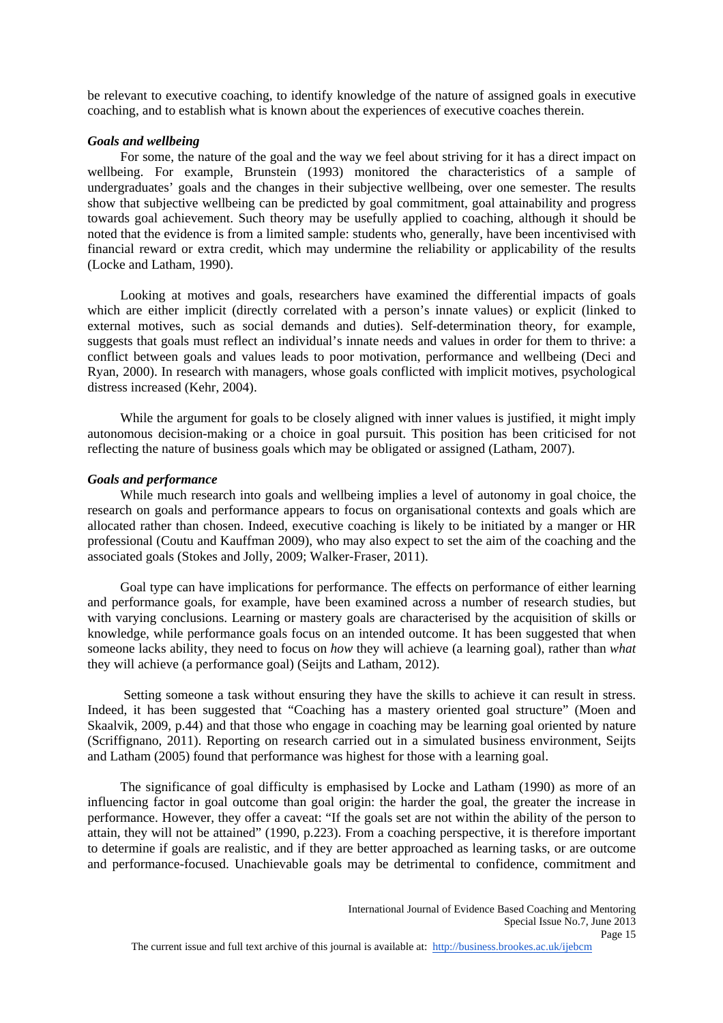be relevant to executive coaching, to identify knowledge of the nature of assigned goals in executive coaching, and to establish what is known about the experiences of executive coaches therein.

#### *Goals and wellbeing*

 For some, the nature of the goal and the way we feel about striving for it has a direct impact on wellbeing. For example, Brunstein (1993) monitored the characteristics of a sample of undergraduates' goals and the changes in their subjective wellbeing, over one semester. The results show that subjective wellbeing can be predicted by goal commitment, goal attainability and progress towards goal achievement. Such theory may be usefully applied to coaching, although it should be noted that the evidence is from a limited sample: students who, generally, have been incentivised with financial reward or extra credit, which may undermine the reliability or applicability of the results (Locke and Latham, 1990).

 Looking at motives and goals, researchers have examined the differential impacts of goals which are either implicit (directly correlated with a person's innate values) or explicit (linked to external motives, such as social demands and duties). Self-determination theory, for example, suggests that goals must reflect an individual's innate needs and values in order for them to thrive: a conflict between goals and values leads to poor motivation, performance and wellbeing (Deci and Ryan, 2000). In research with managers, whose goals conflicted with implicit motives, psychological distress increased (Kehr, 2004).

 While the argument for goals to be closely aligned with inner values is justified, it might imply autonomous decision-making or a choice in goal pursuit. This position has been criticised for not reflecting the nature of business goals which may be obligated or assigned (Latham, 2007).

#### *Goals and performance*

 While much research into goals and wellbeing implies a level of autonomy in goal choice, the research on goals and performance appears to focus on organisational contexts and goals which are allocated rather than chosen. Indeed, executive coaching is likely to be initiated by a manger or HR professional (Coutu and Kauffman 2009), who may also expect to set the aim of the coaching and the associated goals (Stokes and Jolly, 2009; Walker-Fraser, 2011).

 Goal type can have implications for performance. The effects on performance of either learning and performance goals, for example, have been examined across a number of research studies, but with varying conclusions. Learning or mastery goals are characterised by the acquisition of skills or knowledge, while performance goals focus on an intended outcome. It has been suggested that when someone lacks ability, they need to focus on *how* they will achieve (a learning goal), rather than *what* they will achieve (a performance goal) (Seijts and Latham, 2012).

 Setting someone a task without ensuring they have the skills to achieve it can result in stress. Indeed, it has been suggested that "Coaching has a mastery oriented goal structure" (Moen and Skaalvik, 2009, p.44) and that those who engage in coaching may be learning goal oriented by nature (Scriffignano, 2011). Reporting on research carried out in a simulated business environment, Seijts and Latham (2005) found that performance was highest for those with a learning goal.

 The significance of goal difficulty is emphasised by Locke and Latham (1990) as more of an influencing factor in goal outcome than goal origin: the harder the goal, the greater the increase in performance. However, they offer a caveat: "If the goals set are not within the ability of the person to attain, they will not be attained" (1990, p.223). From a coaching perspective, it is therefore important to determine if goals are realistic, and if they are better approached as learning tasks, or are outcome and performance-focused. Unachievable goals may be detrimental to confidence, commitment and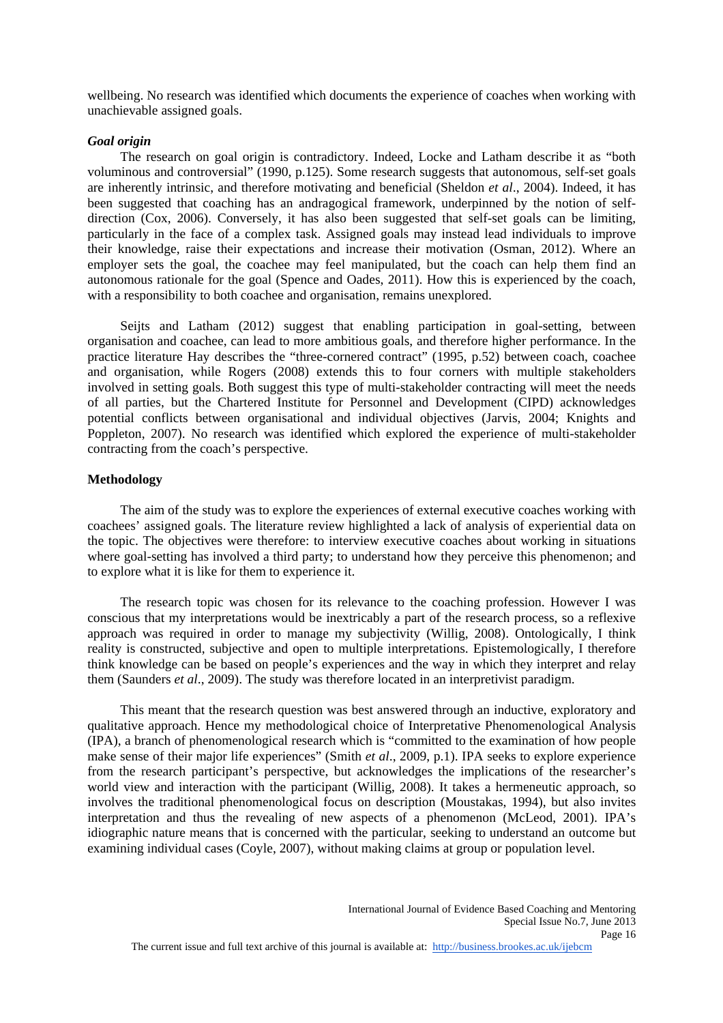wellbeing. No research was identified which documents the experience of coaches when working with unachievable assigned goals.

#### *Goal origin*

 The research on goal origin is contradictory. Indeed, Locke and Latham describe it as "both voluminous and controversial" (1990, p.125). Some research suggests that autonomous, self-set goals are inherently intrinsic, and therefore motivating and beneficial (Sheldon *et al*., 2004). Indeed, it has been suggested that coaching has an andragogical framework, underpinned by the notion of selfdirection (Cox, 2006). Conversely, it has also been suggested that self-set goals can be limiting, particularly in the face of a complex task. Assigned goals may instead lead individuals to improve their knowledge, raise their expectations and increase their motivation (Osman, 2012). Where an employer sets the goal, the coachee may feel manipulated, but the coach can help them find an autonomous rationale for the goal (Spence and Oades, 2011). How this is experienced by the coach, with a responsibility to both coachee and organisation, remains unexplored.

 Seijts and Latham (2012) suggest that enabling participation in goal-setting, between organisation and coachee, can lead to more ambitious goals, and therefore higher performance. In the practice literature Hay describes the "three-cornered contract" (1995, p.52) between coach, coachee and organisation, while Rogers (2008) extends this to four corners with multiple stakeholders involved in setting goals. Both suggest this type of multi-stakeholder contracting will meet the needs of all parties, but the Chartered Institute for Personnel and Development (CIPD) acknowledges potential conflicts between organisational and individual objectives (Jarvis, 2004; Knights and Poppleton, 2007). No research was identified which explored the experience of multi-stakeholder contracting from the coach's perspective.

# **Methodology**

 The aim of the study was to explore the experiences of external executive coaches working with coachees' assigned goals. The literature review highlighted a lack of analysis of experiential data on the topic. The objectives were therefore: to interview executive coaches about working in situations where goal-setting has involved a third party; to understand how they perceive this phenomenon; and to explore what it is like for them to experience it.

 The research topic was chosen for its relevance to the coaching profession. However I was conscious that my interpretations would be inextricably a part of the research process, so a reflexive approach was required in order to manage my subjectivity (Willig, 2008). Ontologically, I think reality is constructed, subjective and open to multiple interpretations. Epistemologically, I therefore think knowledge can be based on people's experiences and the way in which they interpret and relay them (Saunders *et al*., 2009). The study was therefore located in an interpretivist paradigm.

 This meant that the research question was best answered through an inductive, exploratory and qualitative approach. Hence my methodological choice of Interpretative Phenomenological Analysis (IPA), a branch of phenomenological research which is "committed to the examination of how people make sense of their major life experiences" (Smith *et al*., 2009, p.1). IPA seeks to explore experience from the research participant's perspective, but acknowledges the implications of the researcher's world view and interaction with the participant (Willig, 2008). It takes a hermeneutic approach, so involves the traditional phenomenological focus on description (Moustakas, 1994), but also invites interpretation and thus the revealing of new aspects of a phenomenon (McLeod, 2001). IPA's idiographic nature means that is concerned with the particular, seeking to understand an outcome but examining individual cases (Coyle, 2007), without making claims at group or population level.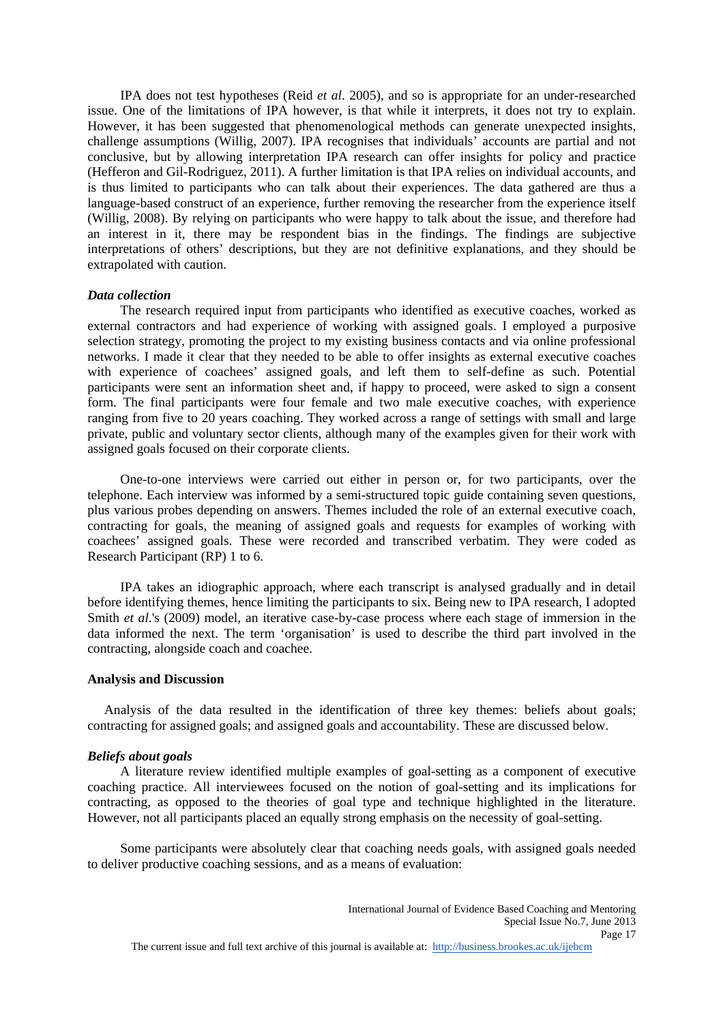IPA does not test hypotheses (Reid *et al*. 2005), and so is appropriate for an under-researched issue. One of the limitations of IPA however, is that while it interprets, it does not try to explain. However, it has been suggested that phenomenological methods can generate unexpected insights, challenge assumptions (Willig, 2007). IPA recognises that individuals' accounts are partial and not conclusive, but by allowing interpretation IPA research can offer insights for policy and practice (Hefferon and Gil-Rodriguez, 2011). A further limitation is that IPA relies on individual accounts, and is thus limited to participants who can talk about their experiences. The data gathered are thus a language-based construct of an experience, further removing the researcher from the experience itself (Willig, 2008). By relying on participants who were happy to talk about the issue, and therefore had an interest in it, there may be respondent bias in the findings. The findings are subjective interpretations of others' descriptions, but they are not definitive explanations, and they should be extrapolated with caution.

### *Data collection*

 The research required input from participants who identified as executive coaches, worked as external contractors and had experience of working with assigned goals. I employed a purposive selection strategy, promoting the project to my existing business contacts and via online professional networks. I made it clear that they needed to be able to offer insights as external executive coaches with experience of coachees' assigned goals, and left them to self-define as such. Potential participants were sent an information sheet and, if happy to proceed, were asked to sign a consent form. The final participants were four female and two male executive coaches, with experience ranging from five to 20 years coaching. They worked across a range of settings with small and large private, public and voluntary sector clients, although many of the examples given for their work with assigned goals focused on their corporate clients.

 One-to-one interviews were carried out either in person or, for two participants, over the telephone. Each interview was informed by a semi-structured topic guide containing seven questions, plus various probes depending on answers. Themes included the role of an external executive coach, contracting for goals, the meaning of assigned goals and requests for examples of working with coachees' assigned goals. These were recorded and transcribed verbatim. They were coded as Research Participant (RP) 1 to 6.

 IPA takes an idiographic approach, where each transcript is analysed gradually and in detail before identifying themes, hence limiting the participants to six. Being new to IPA research, I adopted Smith *et al*.'s (2009) model, an iterative case-by-case process where each stage of immersion in the data informed the next. The term 'organisation' is used to describe the third part involved in the contracting, alongside coach and coachee.

# **Analysis and Discussion**

 Analysis of the data resulted in the identification of three key themes: beliefs about goals; contracting for assigned goals; and assigned goals and accountability. These are discussed below.

#### *Beliefs about goals*

 A literature review identified multiple examples of goal-setting as a component of executive coaching practice. All interviewees focused on the notion of goal-setting and its implications for contracting, as opposed to the theories of goal type and technique highlighted in the literature. However, not all participants placed an equally strong emphasis on the necessity of goal-setting.

 Some participants were absolutely clear that coaching needs goals, with assigned goals needed to deliver productive coaching sessions, and as a means of evaluation: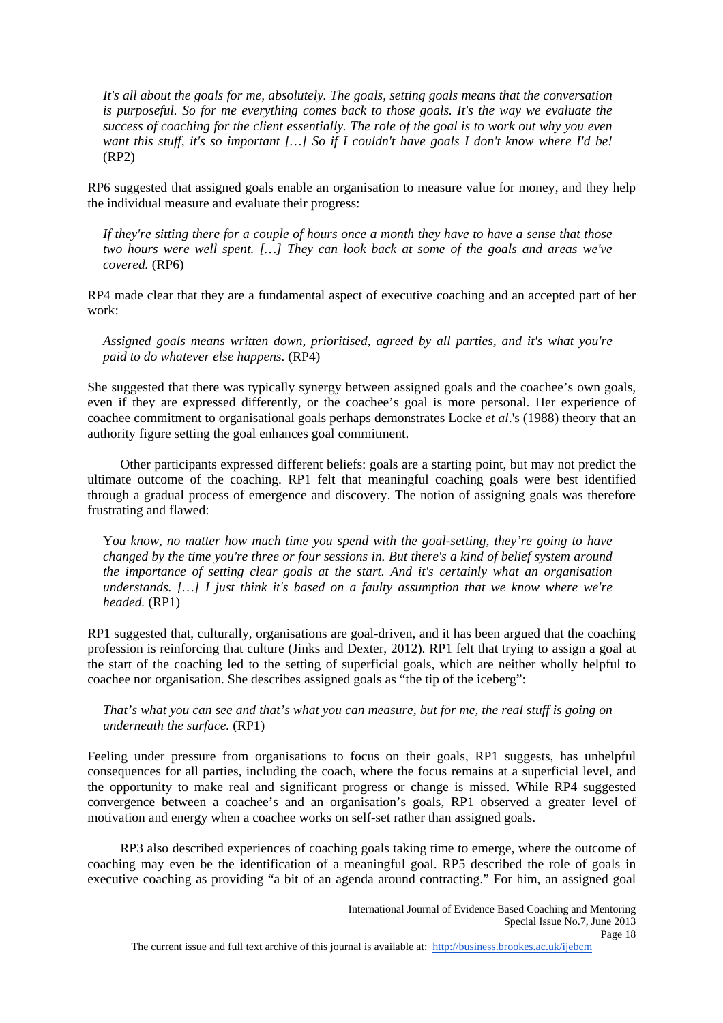*It's all about the goals for me, absolutely. The goals, setting goals means that the conversation is purposeful. So for me everything comes back to those goals. It's the way we evaluate the success of coaching for the client essentially. The role of the goal is to work out why you even want this stuff, it's so important […] So if I couldn't have goals I don't know where I'd be!*  (RP2)

RP6 suggested that assigned goals enable an organisation to measure value for money, and they help the individual measure and evaluate their progress:

*If they're sitting there for a couple of hours once a month they have to have a sense that those two hours were well spent. […] They can look back at some of the goals and areas we've covered.* (RP6)

RP4 made clear that they are a fundamental aspect of executive coaching and an accepted part of her work:

*Assigned goals means written down, prioritised, agreed by all parties, and it's what you're paid to do whatever else happens.* (RP4)

She suggested that there was typically synergy between assigned goals and the coachee's own goals, even if they are expressed differently, or the coachee's goal is more personal. Her experience of coachee commitment to organisational goals perhaps demonstrates Locke *et al*.'s (1988) theory that an authority figure setting the goal enhances goal commitment.

 Other participants expressed different beliefs: goals are a starting point, but may not predict the ultimate outcome of the coaching. RP1 felt that meaningful coaching goals were best identified through a gradual process of emergence and discovery. The notion of assigning goals was therefore frustrating and flawed:

Y*ou know, no matter how much time you spend with the goal-setting, they're going to have changed by the time you're three or four sessions in. But there's a kind of belief system around the importance of setting clear goals at the start. And it's certainly what an organisation understands. […] I just think it's based on a faulty assumption that we know where we're headed.* (RP1)

RP1 suggested that, culturally, organisations are goal-driven, and it has been argued that the coaching profession is reinforcing that culture (Jinks and Dexter, 2012). RP1 felt that trying to assign a goal at the start of the coaching led to the setting of superficial goals, which are neither wholly helpful to coachee nor organisation. She describes assigned goals as "the tip of the iceberg":

*That's what you can see and that's what you can measure, but for me, the real stuff is going on underneath the surface.* (RP1)

Feeling under pressure from organisations to focus on their goals, RP1 suggests, has unhelpful consequences for all parties, including the coach, where the focus remains at a superficial level, and the opportunity to make real and significant progress or change is missed. While RP4 suggested convergence between a coachee's and an organisation's goals, RP1 observed a greater level of motivation and energy when a coachee works on self-set rather than assigned goals.

 RP3 also described experiences of coaching goals taking time to emerge, where the outcome of coaching may even be the identification of a meaningful goal. RP5 described the role of goals in executive coaching as providing "a bit of an agenda around contracting." For him, an assigned goal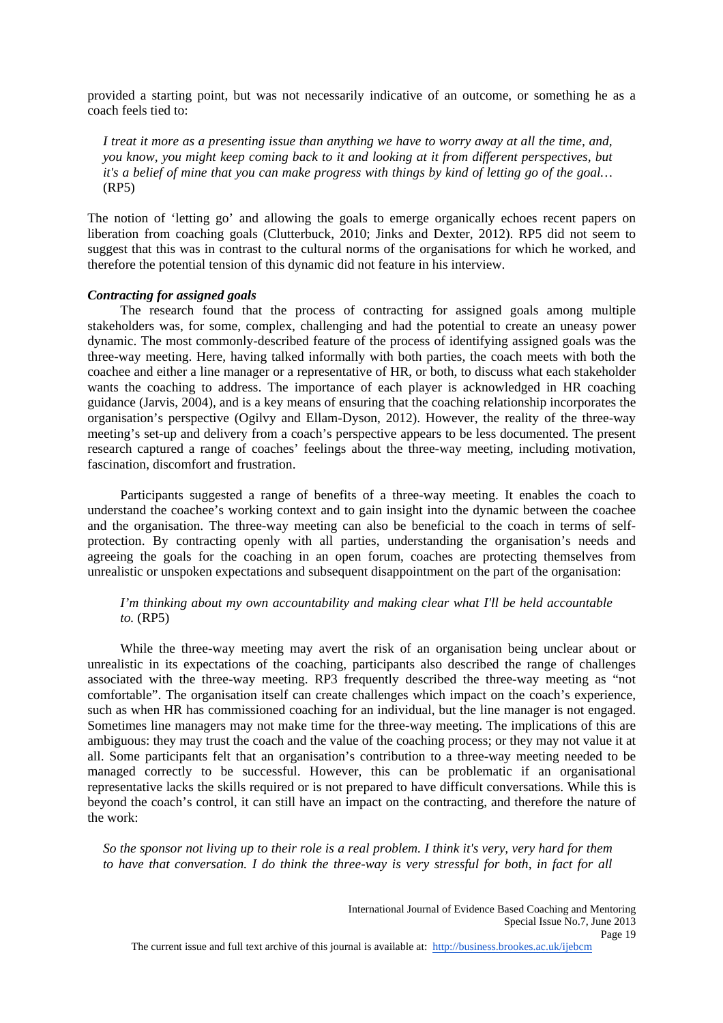provided a starting point, but was not necessarily indicative of an outcome, or something he as a coach feels tied to:

*I treat it more as a presenting issue than anything we have to worry away at all the time, and, you know, you might keep coming back to it and looking at it from different perspectives, but it's a belief of mine that you can make progress with things by kind of letting go of the goal…*  (RP5)

The notion of 'letting go' and allowing the goals to emerge organically echoes recent papers on liberation from coaching goals (Clutterbuck, 2010; Jinks and Dexter, 2012). RP5 did not seem to suggest that this was in contrast to the cultural norms of the organisations for which he worked, and therefore the potential tension of this dynamic did not feature in his interview.

# *Contracting for assigned goals*

 The research found that the process of contracting for assigned goals among multiple stakeholders was, for some, complex, challenging and had the potential to create an uneasy power dynamic. The most commonly-described feature of the process of identifying assigned goals was the three-way meeting. Here, having talked informally with both parties, the coach meets with both the coachee and either a line manager or a representative of HR, or both, to discuss what each stakeholder wants the coaching to address. The importance of each player is acknowledged in HR coaching guidance (Jarvis, 2004), and is a key means of ensuring that the coaching relationship incorporates the organisation's perspective (Ogilvy and Ellam-Dyson, 2012). However, the reality of the three-way meeting's set-up and delivery from a coach's perspective appears to be less documented. The present research captured a range of coaches' feelings about the three-way meeting, including motivation, fascination, discomfort and frustration.

 Participants suggested a range of benefits of a three-way meeting. It enables the coach to understand the coachee's working context and to gain insight into the dynamic between the coachee and the organisation. The three-way meeting can also be beneficial to the coach in terms of selfprotection. By contracting openly with all parties, understanding the organisation's needs and agreeing the goals for the coaching in an open forum, coaches are protecting themselves from unrealistic or unspoken expectations and subsequent disappointment on the part of the organisation:

# *I'm thinking about my own accountability and making clear what I'll be held accountable to.* (RP5)

 While the three-way meeting may avert the risk of an organisation being unclear about or unrealistic in its expectations of the coaching, participants also described the range of challenges associated with the three-way meeting. RP3 frequently described the three-way meeting as "not comfortable". The organisation itself can create challenges which impact on the coach's experience, such as when HR has commissioned coaching for an individual, but the line manager is not engaged. Sometimes line managers may not make time for the three-way meeting. The implications of this are ambiguous: they may trust the coach and the value of the coaching process; or they may not value it at all. Some participants felt that an organisation's contribution to a three-way meeting needed to be managed correctly to be successful. However, this can be problematic if an organisational representative lacks the skills required or is not prepared to have difficult conversations. While this is beyond the coach's control, it can still have an impact on the contracting, and therefore the nature of the work:

*So the sponsor not living up to their role is a real problem. I think it's very, very hard for them to have that conversation. I do think the three-way is very stressful for both, in fact for all* 

The current issue and full text archive of this journal is available at: http://business.brookes.ac.uk/ijebcm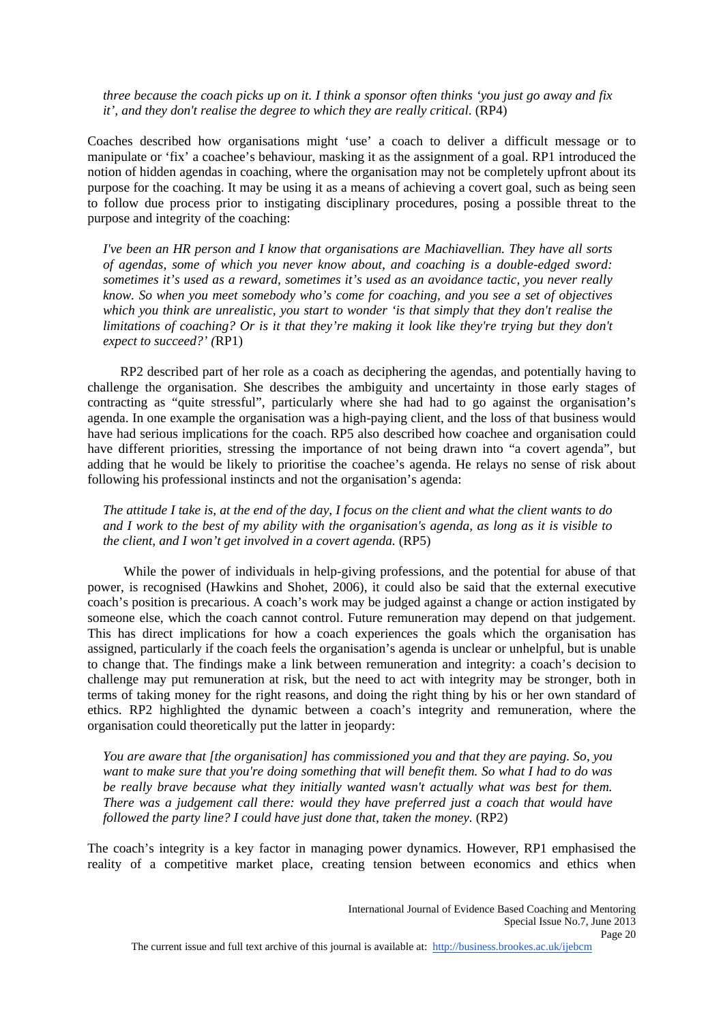*three because the coach picks up on it. I think a sponsor often thinks 'you just go away and fix it', and they don't realise the degree to which they are really critical*. (RP4)

Coaches described how organisations might 'use' a coach to deliver a difficult message or to manipulate or 'fix' a coachee's behaviour, masking it as the assignment of a goal. RP1 introduced the notion of hidden agendas in coaching, where the organisation may not be completely upfront about its purpose for the coaching. It may be using it as a means of achieving a covert goal, such as being seen to follow due process prior to instigating disciplinary procedures, posing a possible threat to the purpose and integrity of the coaching:

*I've been an HR person and I know that organisations are Machiavellian. They have all sorts of agendas, some of which you never know about, and coaching is a double-edged sword: sometimes it's used as a reward, sometimes it's used as an avoidance tactic, you never really know. So when you meet somebody who's come for coaching, and you see a set of objectives which you think are unrealistic, you start to wonder 'is that simply that they don't realise the limitations of coaching? Or is it that they're making it look like they're trying but they don't expect to succeed?' (*RP1)

 RP2 described part of her role as a coach as deciphering the agendas, and potentially having to challenge the organisation. She describes the ambiguity and uncertainty in those early stages of contracting as "quite stressful", particularly where she had had to go against the organisation's agenda. In one example the organisation was a high-paying client, and the loss of that business would have had serious implications for the coach. RP5 also described how coachee and organisation could have different priorities, stressing the importance of not being drawn into "a covert agenda", but adding that he would be likely to prioritise the coachee's agenda. He relays no sense of risk about following his professional instincts and not the organisation's agenda:

*The attitude I take is, at the end of the day, I focus on the client and what the client wants to do and I work to the best of my ability with the organisation's agenda, as long as it is visible to the client, and I won't get involved in a covert agenda.* (RP5)

 While the power of individuals in help-giving professions, and the potential for abuse of that power, is recognised (Hawkins and Shohet, 2006), it could also be said that the external executive coach's position is precarious. A coach's work may be judged against a change or action instigated by someone else, which the coach cannot control. Future remuneration may depend on that judgement. This has direct implications for how a coach experiences the goals which the organisation has assigned, particularly if the coach feels the organisation's agenda is unclear or unhelpful, but is unable to change that. The findings make a link between remuneration and integrity: a coach's decision to challenge may put remuneration at risk, but the need to act with integrity may be stronger, both in terms of taking money for the right reasons, and doing the right thing by his or her own standard of ethics. RP2 highlighted the dynamic between a coach's integrity and remuneration, where the organisation could theoretically put the latter in jeopardy:

*You are aware that [the organisation] has commissioned you and that they are paying. So, you want to make sure that you're doing something that will benefit them. So what I had to do was be really brave because what they initially wanted wasn't actually what was best for them. There was a judgement call there: would they have preferred just a coach that would have followed the party line? I could have just done that, taken the money.* (RP2)

The coach's integrity is a key factor in managing power dynamics. However, RP1 emphasised the reality of a competitive market place, creating tension between economics and ethics when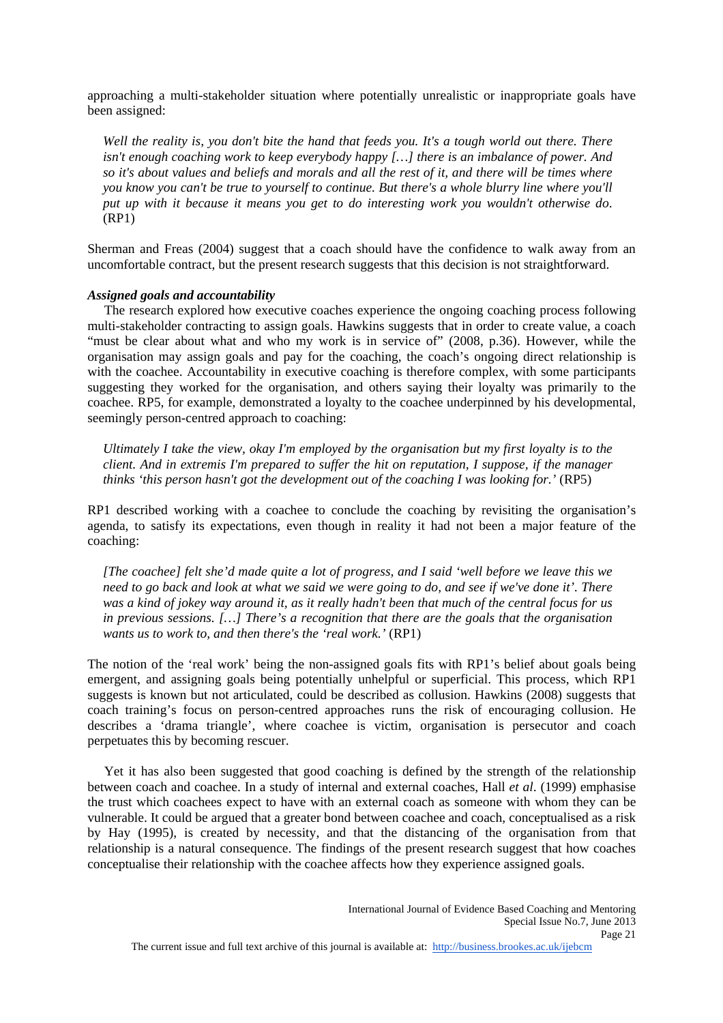approaching a multi-stakeholder situation where potentially unrealistic or inappropriate goals have been assigned:

*Well the reality is, you don't bite the hand that feeds you. It's a tough world out there. There isn't enough coaching work to keep everybody happy […] there is an imbalance of power. And so it's about values and beliefs and morals and all the rest of it, and there will be times where you know you can't be true to yourself to continue. But there's a whole blurry line where you'll put up with it because it means you get to do interesting work you wouldn't otherwise do*. (RP1)

Sherman and Freas (2004) suggest that a coach should have the confidence to walk away from an uncomfortable contract, but the present research suggests that this decision is not straightforward.

### *Assigned goals and accountability*

 The research explored how executive coaches experience the ongoing coaching process following multi-stakeholder contracting to assign goals. Hawkins suggests that in order to create value, a coach "must be clear about what and who my work is in service of" (2008, p.36). However, while the organisation may assign goals and pay for the coaching, the coach's ongoing direct relationship is with the coachee. Accountability in executive coaching is therefore complex, with some participants suggesting they worked for the organisation, and others saying their loyalty was primarily to the coachee. RP5, for example, demonstrated a loyalty to the coachee underpinned by his developmental, seemingly person-centred approach to coaching:

*Ultimately I take the view, okay I'm employed by the organisation but my first loyalty is to the client. And in extremis I'm prepared to suffer the hit on reputation, I suppose, if the manager thinks 'this person hasn't got the development out of the coaching I was looking for.'* (RP5)

RP1 described working with a coachee to conclude the coaching by revisiting the organisation's agenda, to satisfy its expectations, even though in reality it had not been a major feature of the coaching:

*[The coachee] felt she'd made quite a lot of progress, and I said 'well before we leave this we need to go back and look at what we said we were going to do, and see if we've done it'. There was a kind of jokey way around it, as it really hadn't been that much of the central focus for us in previous sessions. […] There's a recognition that there are the goals that the organisation wants us to work to, and then there's the 'real work.'* (RP1)

The notion of the 'real work' being the non-assigned goals fits with RP1's belief about goals being emergent, and assigning goals being potentially unhelpful or superficial. This process, which RP1 suggests is known but not articulated, could be described as collusion. Hawkins (2008) suggests that coach training's focus on person-centred approaches runs the risk of encouraging collusion. He describes a 'drama triangle', where coachee is victim, organisation is persecutor and coach perpetuates this by becoming rescuer.

 Yet it has also been suggested that good coaching is defined by the strength of the relationship between coach and coachee. In a study of internal and external coaches, Hall *et al*. (1999) emphasise the trust which coachees expect to have with an external coach as someone with whom they can be vulnerable. It could be argued that a greater bond between coachee and coach, conceptualised as a risk by Hay (1995), is created by necessity, and that the distancing of the organisation from that relationship is a natural consequence. The findings of the present research suggest that how coaches conceptualise their relationship with the coachee affects how they experience assigned goals.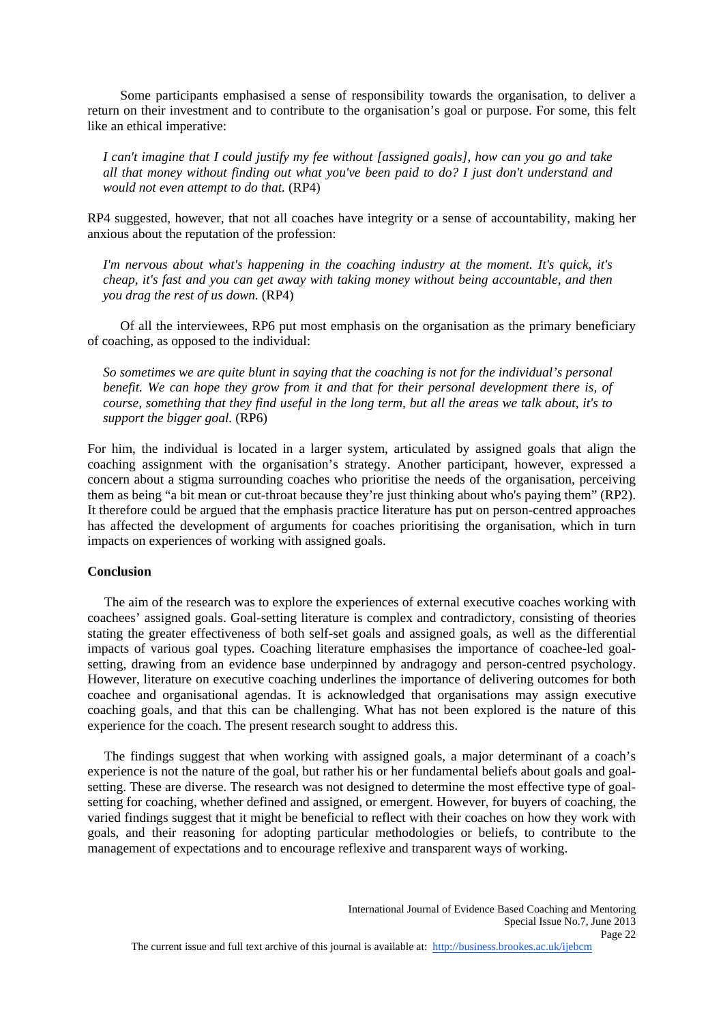Some participants emphasised a sense of responsibility towards the organisation, to deliver a return on their investment and to contribute to the organisation's goal or purpose. For some, this felt like an ethical imperative:

*I can't imagine that I could justify my fee without [assigned goals], how can you go and take all that money without finding out what you've been paid to do? I just don't understand and would not even attempt to do that.* (RP4)

RP4 suggested, however, that not all coaches have integrity or a sense of accountability, making her anxious about the reputation of the profession:

*I'm nervous about what's happening in the coaching industry at the moment. It's quick, it's cheap, it's fast and you can get away with taking money without being accountable, and then you drag the rest of us down.* (RP4)

 Of all the interviewees, RP6 put most emphasis on the organisation as the primary beneficiary of coaching, as opposed to the individual:

*So sometimes we are quite blunt in saying that the coaching is not for the individual's personal benefit. We can hope they grow from it and that for their personal development there is, of course, something that they find useful in the long term, but all the areas we talk about, it's to support the bigger goal.* (RP6)

For him, the individual is located in a larger system, articulated by assigned goals that align the coaching assignment with the organisation's strategy. Another participant, however, expressed a concern about a stigma surrounding coaches who prioritise the needs of the organisation, perceiving them as being "a bit mean or cut-throat because they're just thinking about who's paying them" (RP2). It therefore could be argued that the emphasis practice literature has put on person-centred approaches has affected the development of arguments for coaches prioritising the organisation, which in turn impacts on experiences of working with assigned goals.

# **Conclusion**

 The aim of the research was to explore the experiences of external executive coaches working with coachees' assigned goals. Goal-setting literature is complex and contradictory, consisting of theories stating the greater effectiveness of both self-set goals and assigned goals, as well as the differential impacts of various goal types. Coaching literature emphasises the importance of coachee-led goalsetting, drawing from an evidence base underpinned by andragogy and person-centred psychology. However, literature on executive coaching underlines the importance of delivering outcomes for both coachee and organisational agendas. It is acknowledged that organisations may assign executive coaching goals, and that this can be challenging. What has not been explored is the nature of this experience for the coach. The present research sought to address this.

 The findings suggest that when working with assigned goals, a major determinant of a coach's experience is not the nature of the goal, but rather his or her fundamental beliefs about goals and goalsetting. These are diverse. The research was not designed to determine the most effective type of goalsetting for coaching, whether defined and assigned, or emergent. However, for buyers of coaching, the varied findings suggest that it might be beneficial to reflect with their coaches on how they work with goals, and their reasoning for adopting particular methodologies or beliefs, to contribute to the management of expectations and to encourage reflexive and transparent ways of working.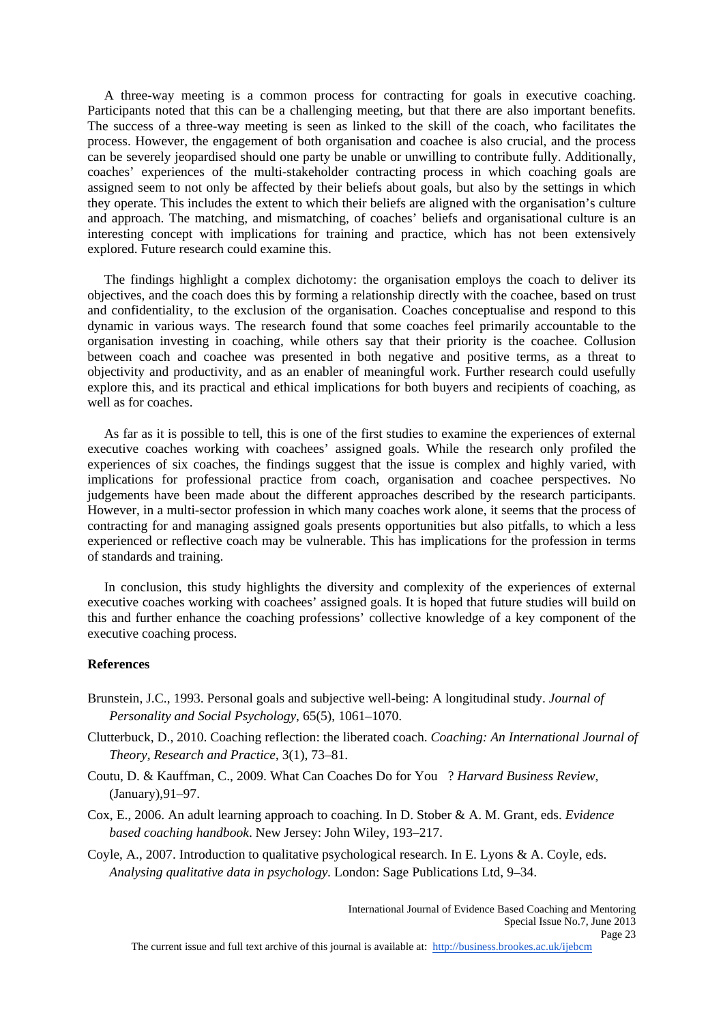A three-way meeting is a common process for contracting for goals in executive coaching. Participants noted that this can be a challenging meeting, but that there are also important benefits. The success of a three-way meeting is seen as linked to the skill of the coach, who facilitates the process. However, the engagement of both organisation and coachee is also crucial, and the process can be severely jeopardised should one party be unable or unwilling to contribute fully. Additionally, coaches' experiences of the multi-stakeholder contracting process in which coaching goals are assigned seem to not only be affected by their beliefs about goals, but also by the settings in which they operate. This includes the extent to which their beliefs are aligned with the organisation's culture and approach. The matching, and mismatching, of coaches' beliefs and organisational culture is an interesting concept with implications for training and practice, which has not been extensively explored. Future research could examine this.

 The findings highlight a complex dichotomy: the organisation employs the coach to deliver its objectives, and the coach does this by forming a relationship directly with the coachee, based on trust and confidentiality, to the exclusion of the organisation. Coaches conceptualise and respond to this dynamic in various ways. The research found that some coaches feel primarily accountable to the organisation investing in coaching, while others say that their priority is the coachee. Collusion between coach and coachee was presented in both negative and positive terms, as a threat to objectivity and productivity, and as an enabler of meaningful work. Further research could usefully explore this, and its practical and ethical implications for both buyers and recipients of coaching, as well as for coaches.

 As far as it is possible to tell, this is one of the first studies to examine the experiences of external executive coaches working with coachees' assigned goals. While the research only profiled the experiences of six coaches, the findings suggest that the issue is complex and highly varied, with implications for professional practice from coach, organisation and coachee perspectives. No judgements have been made about the different approaches described by the research participants. However, in a multi-sector profession in which many coaches work alone, it seems that the process of contracting for and managing assigned goals presents opportunities but also pitfalls, to which a less experienced or reflective coach may be vulnerable. This has implications for the profession in terms of standards and training.

 In conclusion, this study highlights the diversity and complexity of the experiences of external executive coaches working with coachees' assigned goals. It is hoped that future studies will build on this and further enhance the coaching professions' collective knowledge of a key component of the executive coaching process.

#### **References**

- Brunstein, J.C., 1993. Personal goals and subjective well-being: A longitudinal study. *Journal of Personality and Social Psychology*, 65(5), 1061–1070.
- Clutterbuck, D., 2010. Coaching reflection: the liberated coach. *Coaching: An International Journal of Theory, Research and Practice*, 3(1), 73–81.
- Coutu, D. & Kauffman, C., 2009. What Can Coaches Do for You? *Harvard Business Review*, (January),91–97.
- Cox, E., 2006. An adult learning approach to coaching. In D. Stober & A. M. Grant, eds. *Evidence based coaching handbook*. New Jersey: John Wiley, 193–217.
- Coyle, A., 2007. Introduction to qualitative psychological research. In E. Lyons & A. Coyle, eds. *Analysing qualitative data in psychology*. London: Sage Publications Ltd, 9–34.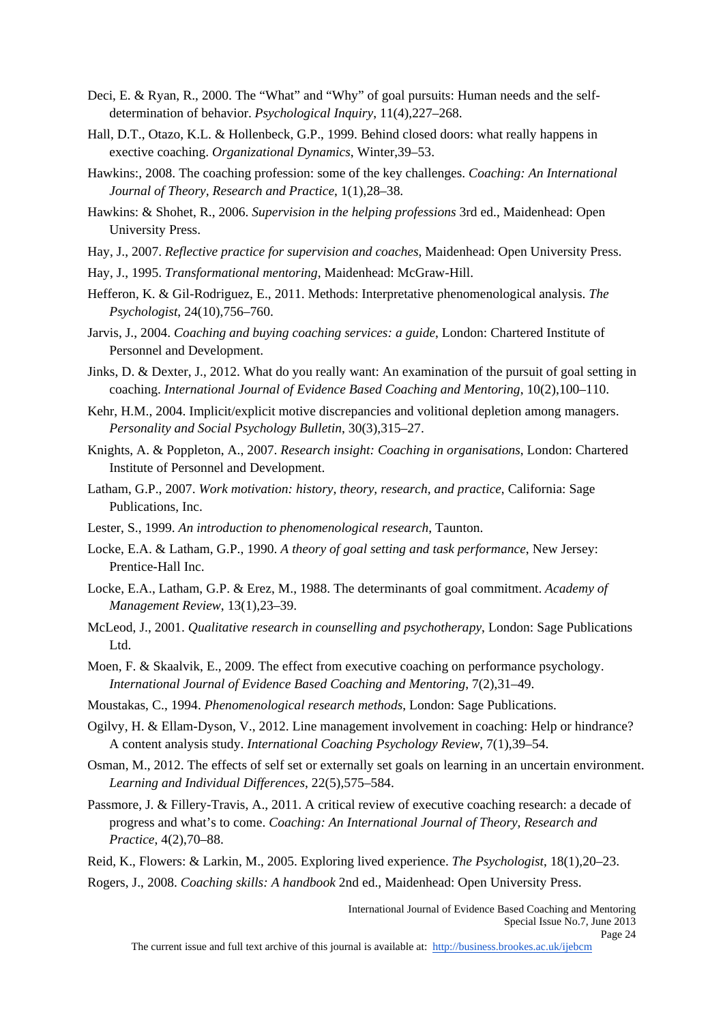- Deci, E. & Ryan, R., 2000. The "What" and "Why" of goal pursuits: Human needs and the selfdetermination of behavior. *Psychological Inquiry*, 11(4),227–268.
- Hall, D.T., Otazo, K.L. & Hollenbeck, G.P., 1999. Behind closed doors: what really happens in exective coaching. *Organizational Dynamics*, Winter,39–53.
- Hawkins:, 2008. The coaching profession: some of the key challenges. *Coaching: An International Journal of Theory, Research and Practice*, 1(1),28–38.
- Hawkins: & Shohet, R., 2006. *Supervision in the helping professions* 3rd ed., Maidenhead: Open University Press.
- Hay, J., 2007. *Reflective practice for supervision and coaches*, Maidenhead: Open University Press.
- Hay, J., 1995. *Transformational mentoring*, Maidenhead: McGraw-Hill.
- Hefferon, K. & Gil-Rodriguez, E., 2011. Methods: Interpretative phenomenological analysis. *The Psychologist*, 24(10),756–760.
- Jarvis, J., 2004. *Coaching and buying coaching services: a guide*, London: Chartered Institute of Personnel and Development.
- Jinks, D. & Dexter, J., 2012. What do you really want: An examination of the pursuit of goal setting in coaching. *International Journal of Evidence Based Coaching and Mentoring*, 10(2),100–110.
- Kehr, H.M., 2004. Implicit/explicit motive discrepancies and volitional depletion among managers. *Personality and Social Psychology Bulletin*, 30(3),315–27.
- Knights, A. & Poppleton, A., 2007. *Research insight: Coaching in organisations*, London: Chartered Institute of Personnel and Development.
- Latham, G.P., 2007. *Work motivation: history, theory, research, and practice*, California: Sage Publications, Inc.
- Lester, S., 1999. *An introduction to phenomenological research*, Taunton.
- Locke, E.A. & Latham, G.P., 1990. *A theory of goal setting and task performance*, New Jersey: Prentice-Hall Inc.
- Locke, E.A., Latham, G.P. & Erez, M., 1988. The determinants of goal commitment. *Academy of Management Review*, 13(1),23–39.
- McLeod, J., 2001. *Qualitative research in counselling and psychotherapy*, London: Sage Publications Ltd.
- Moen, F. & Skaalvik, E., 2009. The effect from executive coaching on performance psychology. *International Journal of Evidence Based Coaching and Mentoring*, 7(2),31–49.
- Moustakas, C., 1994. *Phenomenological research methods*, London: Sage Publications.
- Ogilvy, H. & Ellam-Dyson, V., 2012. Line management involvement in coaching: Help or hindrance? A content analysis study. *International Coaching Psychology Review*, 7(1),39–54.
- Osman, M., 2012. The effects of self set or externally set goals on learning in an uncertain environment. *Learning and Individual Differences*, 22(5),575–584.
- Passmore, J. & Fillery-Travis, A., 2011. A critical review of executive coaching research: a decade of progress and what's to come. *Coaching: An International Journal of Theory, Research and Practice*, 4(2),70–88.
- Reid, K., Flowers: & Larkin, M., 2005. Exploring lived experience. *The Psychologist*, 18(1),20–23.
- Rogers, J., 2008. *Coaching skills: A handbook* 2nd ed., Maidenhead: Open University Press.

International Journal of Evidence Based Coaching and Mentoring Special Issue No.7, June 2013 Page 24

The current issue and full text archive of this journal is available at: http://business.brookes.ac.uk/ijebcm